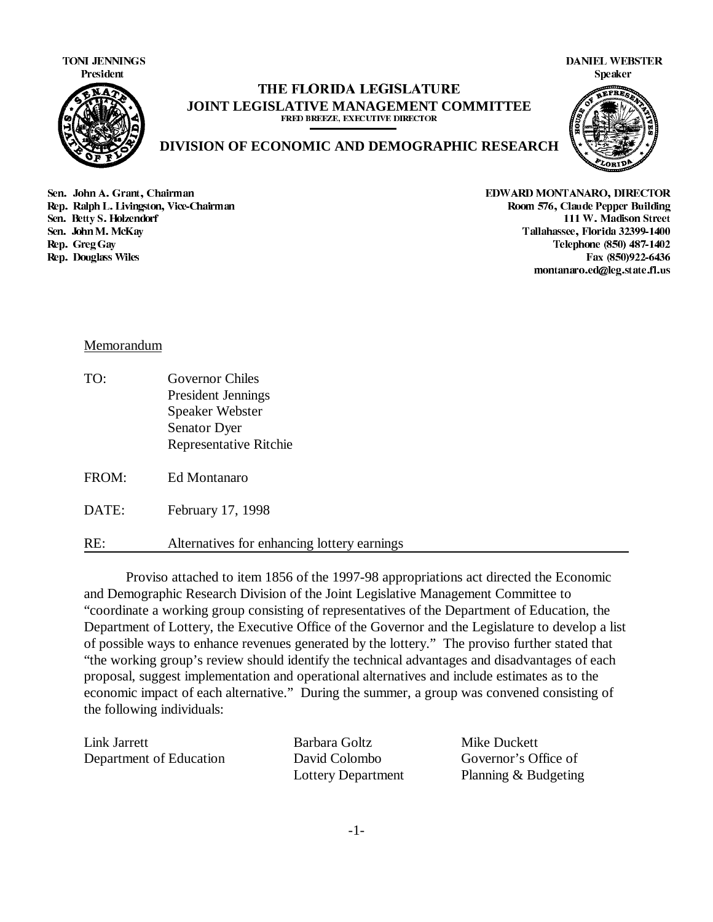TONI JENNINGS DANIEL WEBSTER



### THE FLORIDA LEGISLATURE **JOINT LEGISLATIVE MANAGEMENT COMMITTEE** FRED BREEZE, EXECUTIVE DIRECTOR



**DIVISION OF ECONOMIC AND DEMOGRAPHIC RESEARCH**

6https://www.facebook.com/induction-community-services-services-services-services-services-services-services-services-services-services-services-services-services-services-services-services-services-services-services-servi Rep. Ralph L. Livingston, Vice-Chairman and the state of the state of the state of the Soom 576, Claude Pepper Building 6HQ %HWW\ 6 +RO]HQGRUI : 0DGLVRQ 6WUHHW France Sen, John M. McKay 2009-1400 (1999) 2009-1400 (1999) 2009-1400 (1999-1400 (1999-1400 (1999-1400 (1999-1 Exp. Greg Gay Telephone (850) 487-1402<br>1992-6436 Rep. Douglass Wiles Fax (850) 492-6436

Fax (850)922-6436 montanaro.ed@leg.state.fl.us

# Memorandum

TO: Governor Chiles President Jennings Speaker Webster Senator Dyer Representative Ritchie

FROM: Ed Montanaro

DATE: February 17, 1998

RE: Alternatives for enhancing lottery earnings

Proviso attached to item 1856 of the 1997-98 appropriations act directed the Economic and Demographic Research Division of the Joint Legislative Management Committee to "coordinate a working group consisting of representatives of the Department of Education, the Department of Lottery, the Executive Office of the Governor and the Legislature to develop a list of possible ways to enhance revenues generated by the lottery." The proviso further stated that "the working group's review should identify the technical advantages and disadvantages of each proposal, suggest implementation and operational alternatives and include estimates as to the economic impact of each alternative." During the summer, a group was convened consisting of the following individuals:

| Link Jarrett            | Barbara Goltz      | Mike Duckett         |
|-------------------------|--------------------|----------------------|
| Department of Education | David Colombo      | Governor's Office of |
|                         | Lottery Department | Planning & Budgeting |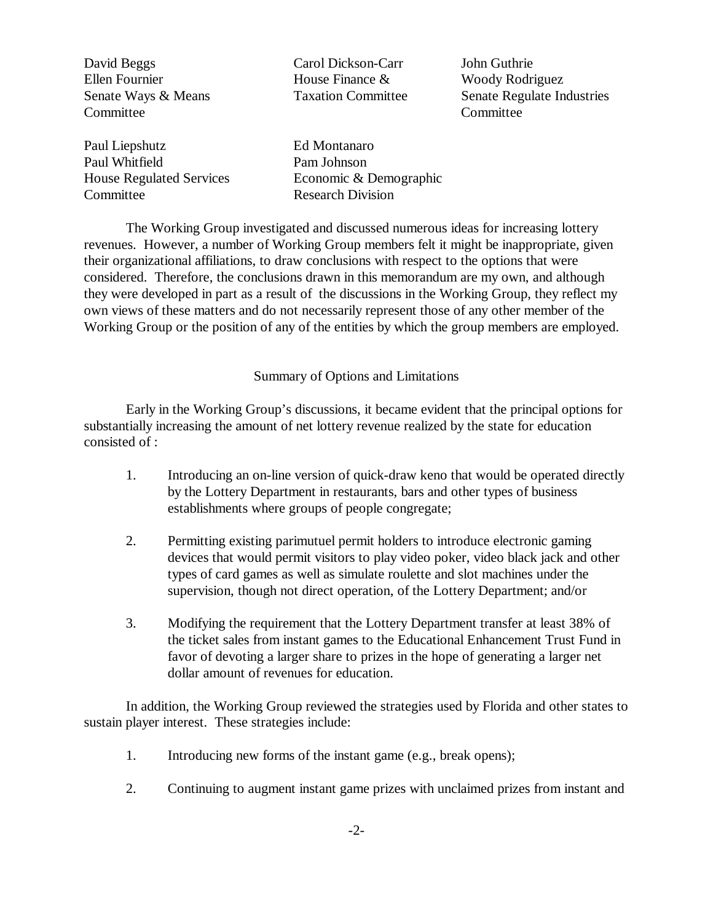David Beggs Carol Dickson-Carr John Guthrie Ellen Fournier House Finance & Woody Rodriguez Senate Ways & Means Taxation Committee Senate Regulate Industries Committee Committee Paul Liepshutz Ed Montanaro Paul Whitfield Pam Johnson House Regulated Services Economic & Demographic Committee Research Division

The Working Group investigated and discussed numerous ideas for increasing lottery revenues. However, a number of Working Group members felt it might be inappropriate, given their organizational affiliations, to draw conclusions with respect to the options that were considered. Therefore, the conclusions drawn in this memorandum are my own, and although they were developed in part as a result of the discussions in the Working Group, they reflect my own views of these matters and do not necessarily represent those of any other member of the Working Group or the position of any of the entities by which the group members are employed.

#### Summary of Options and Limitations

Early in the Working Group's discussions, it became evident that the principal options for substantially increasing the amount of net lottery revenue realized by the state for education consisted of :

- 1. Introducing an on-line version of quick-draw keno that would be operated directly by the Lottery Department in restaurants, bars and other types of business establishments where groups of people congregate;
- 2. Permitting existing parimutuel permit holders to introduce electronic gaming devices that would permit visitors to play video poker, video black jack and other types of card games as well as simulate roulette and slot machines under the supervision, though not direct operation, of the Lottery Department; and/or
- 3. Modifying the requirement that the Lottery Department transfer at least 38% of the ticket sales from instant games to the Educational Enhancement Trust Fund in favor of devoting a larger share to prizes in the hope of generating a larger net dollar amount of revenues for education.

In addition, the Working Group reviewed the strategies used by Florida and other states to sustain player interest. These strategies include:

- 1. Introducing new forms of the instant game (e.g., break opens);
- 2. Continuing to augment instant game prizes with unclaimed prizes from instant and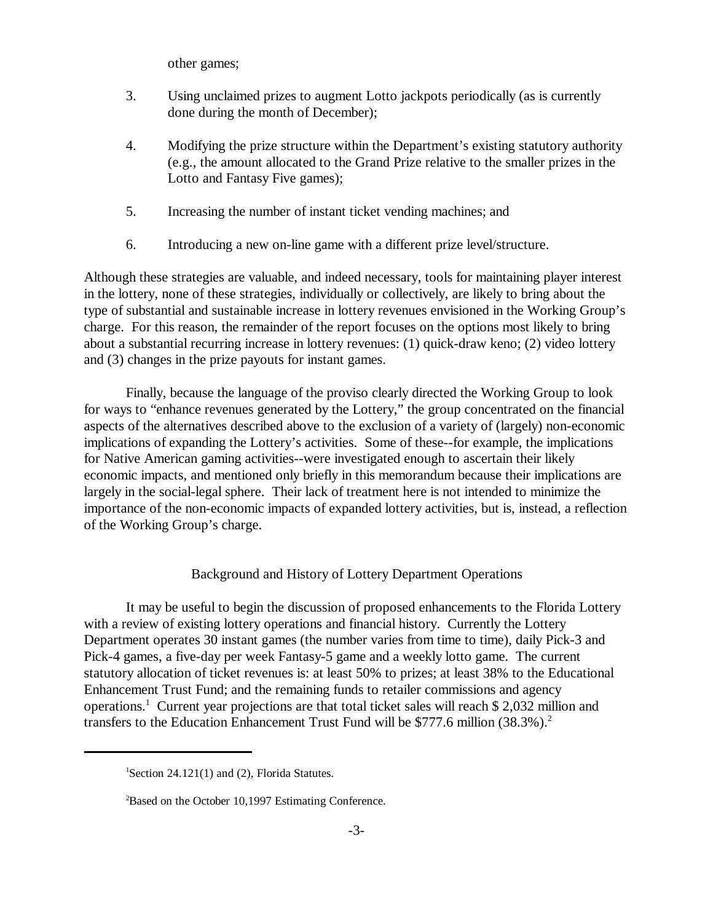other games;

- 3. Using unclaimed prizes to augment Lotto jackpots periodically (as is currently done during the month of December);
- 4. Modifying the prize structure within the Department's existing statutory authority (e.g., the amount allocated to the Grand Prize relative to the smaller prizes in the Lotto and Fantasy Five games);
- 5. Increasing the number of instant ticket vending machines; and
- 6. Introducing a new on-line game with a different prize level/structure.

Although these strategies are valuable, and indeed necessary, tools for maintaining player interest in the lottery, none of these strategies, individually or collectively, are likely to bring about the type of substantial and sustainable increase in lottery revenues envisioned in the Working Group's charge. For this reason, the remainder of the report focuses on the options most likely to bring about a substantial recurring increase in lottery revenues: (1) quick-draw keno; (2) video lottery and (3) changes in the prize payouts for instant games.

Finally, because the language of the proviso clearly directed the Working Group to look for ways to "enhance revenues generated by the Lottery," the group concentrated on the financial aspects of the alternatives described above to the exclusion of a variety of (largely) non-economic implications of expanding the Lottery's activities. Some of these--for example, the implications for Native American gaming activities--were investigated enough to ascertain their likely economic impacts, and mentioned only briefly in this memorandum because their implications are largely in the social-legal sphere. Their lack of treatment here is not intended to minimize the importance of the non-economic impacts of expanded lottery activities, but is, instead, a reflection of the Working Group's charge.

# Background and History of Lottery Department Operations

It may be useful to begin the discussion of proposed enhancements to the Florida Lottery with a review of existing lottery operations and financial history. Currently the Lottery Department operates 30 instant games (the number varies from time to time), daily Pick-3 and Pick-4 games, a five-day per week Fantasy-5 game and a weekly lotto game. The current statutory allocation of ticket revenues is: at least 50% to prizes; at least 38% to the Educational Enhancement Trust Fund; and the remaining funds to retailer commissions and agency operations.<sup>1</sup> Current year projections are that total ticket sales will reach \$ 2,032 million and transfers to the Education Enhancement Trust Fund will be \$777.6 million (38.3%).<sup>2</sup>

<sup>&</sup>lt;sup>1</sup>Section 24.121(1) and (2), Florida Statutes.

 ${}^{2}$ Based on the October 10,1997 Estimating Conference.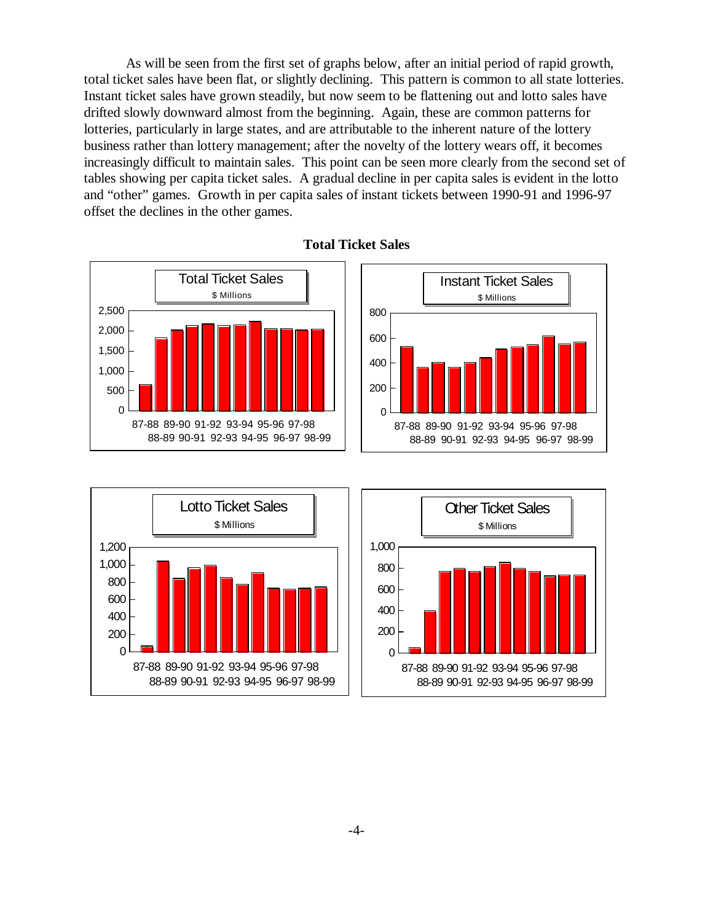As will be seen from the first set of graphs below, after an initial period of rapid growth, total ticket sales have been flat, or slightly declining. This pattern is common to all state lotteries. Instant ticket sales have grown steadily, but now seem to be flattening out and lotto sales have drifted slowly downward almost from the beginning. Again, these are common patterns for lotteries, particularly in large states, and are attributable to the inherent nature of the lottery business rather than lottery management; after the novelty of the lottery wears off, it becomes increasingly difficult to maintain sales. This point can be seen more clearly from the second set of tables showing per capita ticket sales. A gradual decline in per capita sales is evident in the lotto and "other" games. Growth in per capita sales of instant tickets between 1990-91 and 1996-97 offset the declines in the other games.







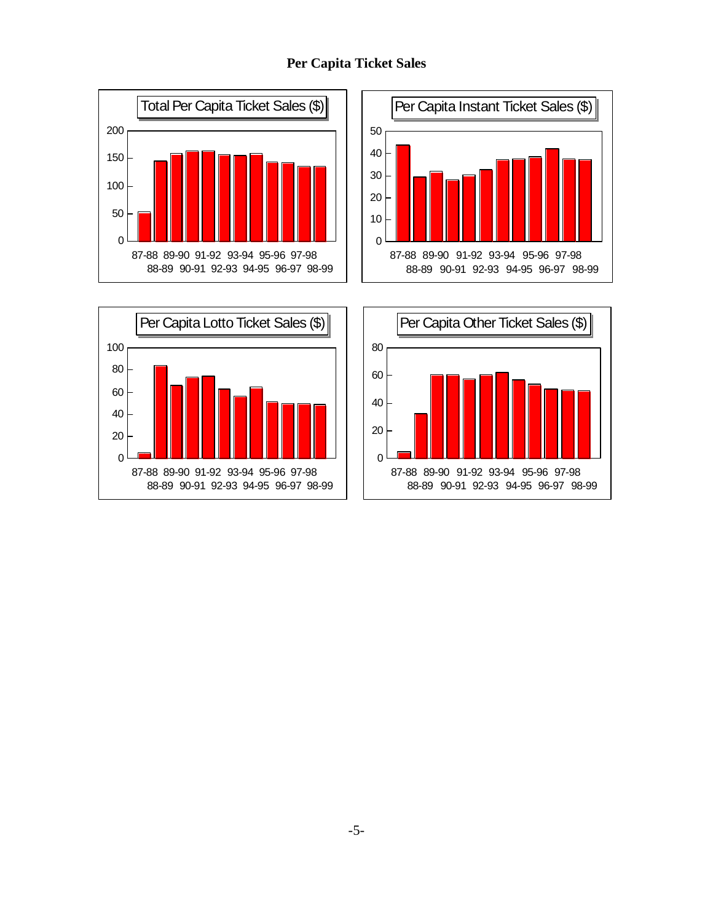







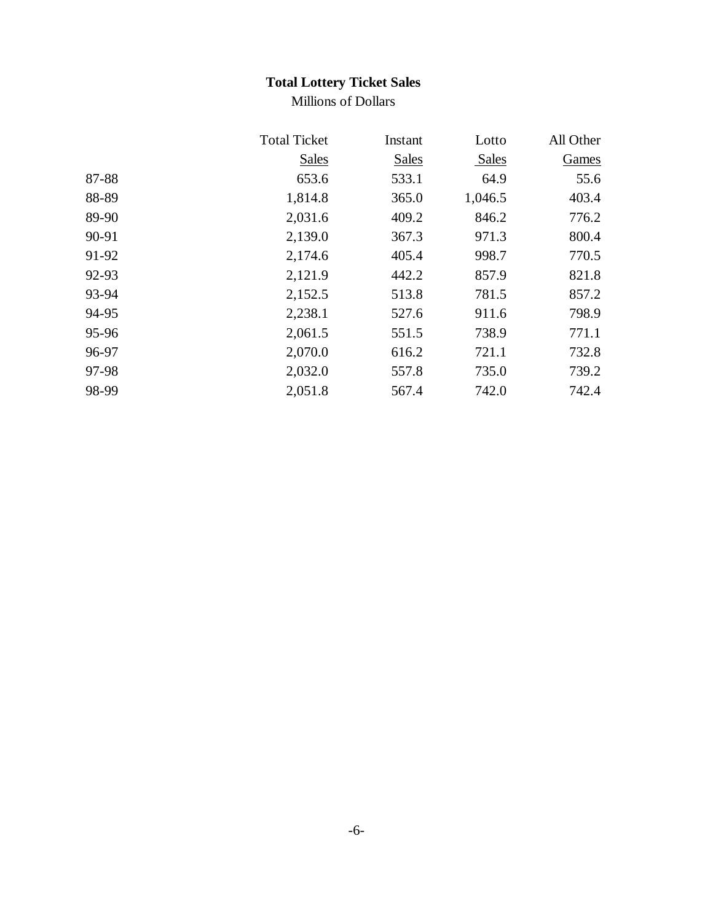# **Total Lottery Ticket Sales**

Millions of Dollars

|       | <b>Total Ticket</b> | Instant      | Lotto   | All Other |
|-------|---------------------|--------------|---------|-----------|
|       | <b>Sales</b>        | <b>Sales</b> | Sales   | Games     |
| 87-88 | 653.6               | 533.1        | 64.9    | 55.6      |
| 88-89 | 1,814.8             | 365.0        | 1,046.5 | 403.4     |
| 89-90 | 2,031.6             | 409.2        | 846.2   | 776.2     |
| 90-91 | 2,139.0             | 367.3        | 971.3   | 800.4     |
| 91-92 | 2,174.6             | 405.4        | 998.7   | 770.5     |
| 92-93 | 2,121.9             | 442.2        | 857.9   | 821.8     |
| 93-94 | 2,152.5             | 513.8        | 781.5   | 857.2     |
| 94-95 | 2,238.1             | 527.6        | 911.6   | 798.9     |
| 95-96 | 2,061.5             | 551.5        | 738.9   | 771.1     |
| 96-97 | 2,070.0             | 616.2        | 721.1   | 732.8     |
| 97-98 | 2,032.0             | 557.8        | 735.0   | 739.2     |
| 98-99 | 2,051.8             | 567.4        | 742.0   | 742.4     |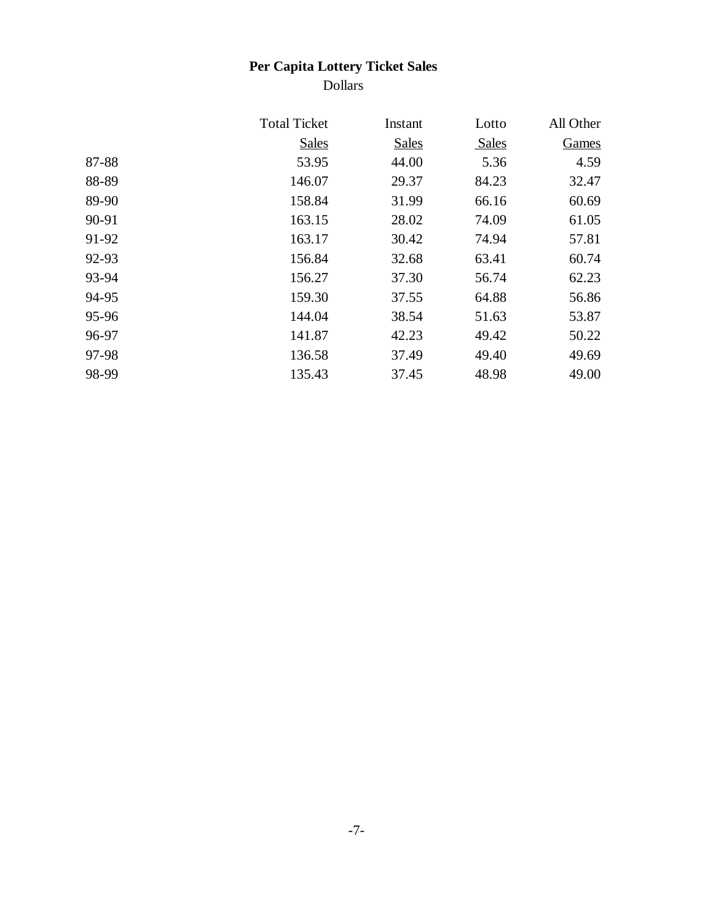# **Per Capita Lottery Ticket Sales**

Dollars

|       | <b>Total Ticket</b> | Instant      | Lotto        | All Other |
|-------|---------------------|--------------|--------------|-----------|
|       | <b>Sales</b>        | <b>Sales</b> | <b>Sales</b> | Games     |
| 87-88 | 53.95               | 44.00        | 5.36         | 4.59      |
| 88-89 | 146.07              | 29.37        | 84.23        | 32.47     |
| 89-90 | 158.84              | 31.99        | 66.16        | 60.69     |
| 90-91 | 163.15              | 28.02        | 74.09        | 61.05     |
| 91-92 | 163.17              | 30.42        | 74.94        | 57.81     |
| 92-93 | 156.84              | 32.68        | 63.41        | 60.74     |
| 93-94 | 156.27              | 37.30        | 56.74        | 62.23     |
| 94-95 | 159.30              | 37.55        | 64.88        | 56.86     |
| 95-96 | 144.04              | 38.54        | 51.63        | 53.87     |
| 96-97 | 141.87              | 42.23        | 49.42        | 50.22     |
| 97-98 | 136.58              | 37.49        | 49.40        | 49.69     |
| 98-99 | 135.43              | 37.45        | 48.98        | 49.00     |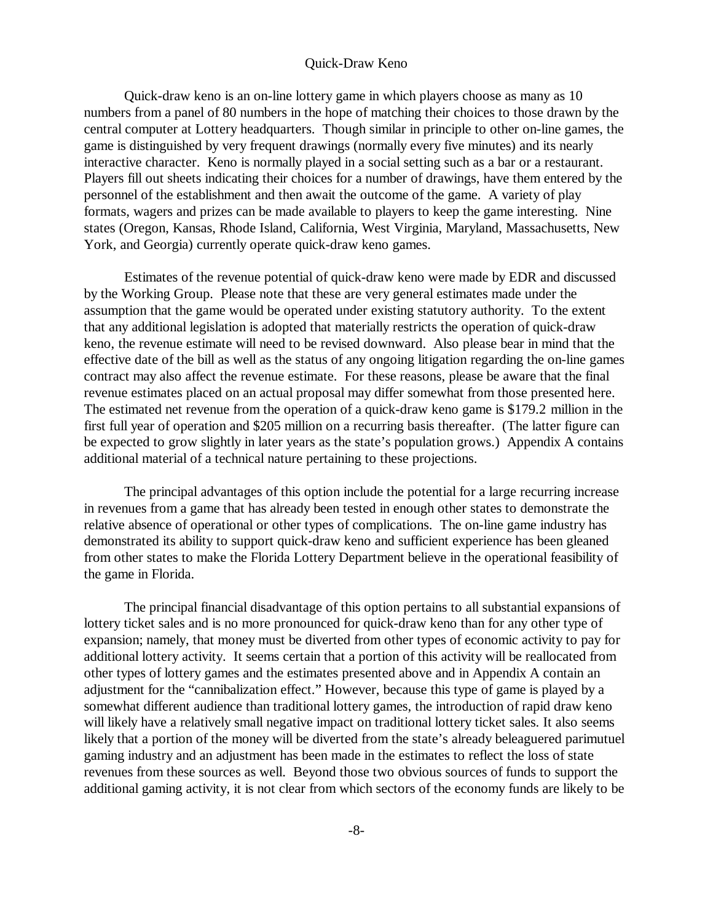#### Quick-Draw Keno

Quick-draw keno is an on-line lottery game in which players choose as many as 10 numbers from a panel of 80 numbers in the hope of matching their choices to those drawn by the central computer at Lottery headquarters. Though similar in principle to other on-line games, the game is distinguished by very frequent drawings (normally every five minutes) and its nearly interactive character. Keno is normally played in a social setting such as a bar or a restaurant. Players fill out sheets indicating their choices for a number of drawings, have them entered by the personnel of the establishment and then await the outcome of the game. A variety of play formats, wagers and prizes can be made available to players to keep the game interesting. Nine states (Oregon, Kansas, Rhode Island, California, West Virginia, Maryland, Massachusetts, New York, and Georgia) currently operate quick-draw keno games.

Estimates of the revenue potential of quick-draw keno were made by EDR and discussed by the Working Group. Please note that these are very general estimates made under the assumption that the game would be operated under existing statutory authority. To the extent that any additional legislation is adopted that materially restricts the operation of quick-draw keno, the revenue estimate will need to be revised downward. Also please bear in mind that the effective date of the bill as well as the status of any ongoing litigation regarding the on-line games contract may also affect the revenue estimate. For these reasons, please be aware that the final revenue estimates placed on an actual proposal may differ somewhat from those presented here. The estimated net revenue from the operation of a quick-draw keno game is \$179.2 million in the first full year of operation and \$205 million on a recurring basis thereafter. (The latter figure can be expected to grow slightly in later years as the state's population grows.) Appendix A contains additional material of a technical nature pertaining to these projections.

The principal advantages of this option include the potential for a large recurring increase in revenues from a game that has already been tested in enough other states to demonstrate the relative absence of operational or other types of complications. The on-line game industry has demonstrated its ability to support quick-draw keno and sufficient experience has been gleaned from other states to make the Florida Lottery Department believe in the operational feasibility of the game in Florida.

The principal financial disadvantage of this option pertains to all substantial expansions of lottery ticket sales and is no more pronounced for quick-draw keno than for any other type of expansion; namely, that money must be diverted from other types of economic activity to pay for additional lottery activity. It seems certain that a portion of this activity will be reallocated from other types of lottery games and the estimates presented above and in Appendix A contain an adjustment for the "cannibalization effect." However, because this type of game is played by a somewhat different audience than traditional lottery games, the introduction of rapid draw keno will likely have a relatively small negative impact on traditional lottery ticket sales. It also seems likely that a portion of the money will be diverted from the state's already beleaguered parimutuel gaming industry and an adjustment has been made in the estimates to reflect the loss of state revenues from these sources as well. Beyond those two obvious sources of funds to support the additional gaming activity, it is not clear from which sectors of the economy funds are likely to be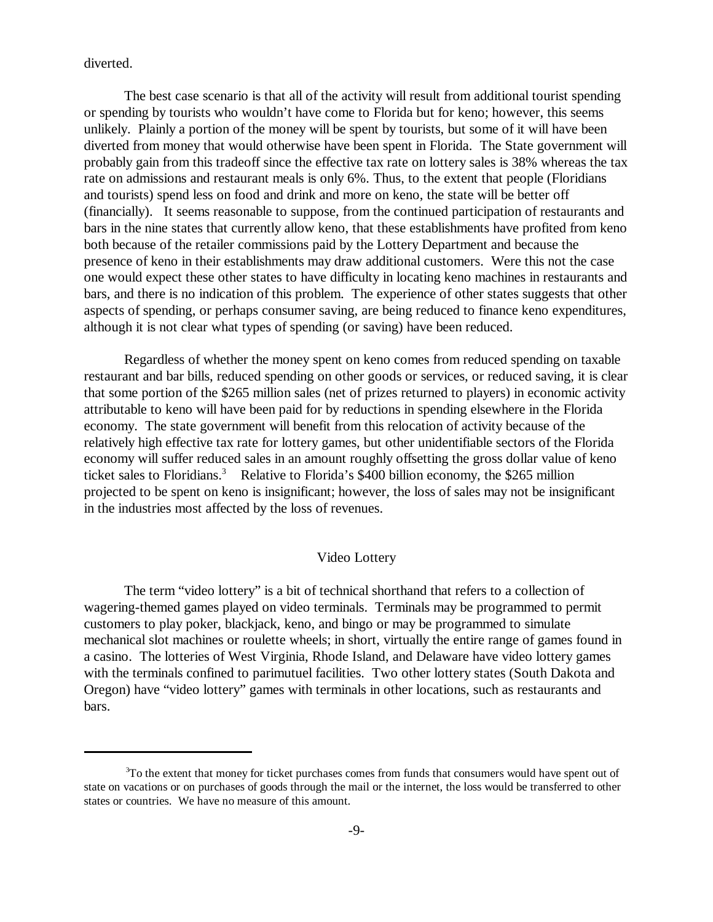diverted.

The best case scenario is that all of the activity will result from additional tourist spending or spending by tourists who wouldn't have come to Florida but for keno; however, this seems unlikely. Plainly a portion of the money will be spent by tourists, but some of it will have been diverted from money that would otherwise have been spent in Florida. The State government will probably gain from this tradeoff since the effective tax rate on lottery sales is 38% whereas the tax rate on admissions and restaurant meals is only 6%. Thus, to the extent that people (Floridians and tourists) spend less on food and drink and more on keno, the state will be better off (financially). It seems reasonable to suppose, from the continued participation of restaurants and bars in the nine states that currently allow keno, that these establishments have profited from keno both because of the retailer commissions paid by the Lottery Department and because the presence of keno in their establishments may draw additional customers. Were this not the case one would expect these other states to have difficulty in locating keno machines in restaurants and bars, and there is no indication of this problem. The experience of other states suggests that other aspects of spending, or perhaps consumer saving, are being reduced to finance keno expenditures, although it is not clear what types of spending (or saving) have been reduced.

Regardless of whether the money spent on keno comes from reduced spending on taxable restaurant and bar bills, reduced spending on other goods or services, or reduced saving, it is clear that some portion of the \$265 million sales (net of prizes returned to players) in economic activity attributable to keno will have been paid for by reductions in spending elsewhere in the Florida economy. The state government will benefit from this relocation of activity because of the relatively high effective tax rate for lottery games, but other unidentifiable sectors of the Florida economy will suffer reduced sales in an amount roughly offsetting the gross dollar value of keno ticket sales to Floridians.<sup>3</sup> Relative to Florida's \$400 billion economy, the \$265 million projected to be spent on keno is insignificant; however, the loss of sales may not be insignificant in the industries most affected by the loss of revenues.

# Video Lottery

The term "video lottery" is a bit of technical shorthand that refers to a collection of wagering-themed games played on video terminals. Terminals may be programmed to permit customers to play poker, blackjack, keno, and bingo or may be programmed to simulate mechanical slot machines or roulette wheels; in short, virtually the entire range of games found in a casino. The lotteries of West Virginia, Rhode Island, and Delaware have video lottery games with the terminals confined to parimutuel facilities. Two other lottery states (South Dakota and Oregon) have "video lottery" games with terminals in other locations, such as restaurants and bars.

 $3T$  To the extent that money for ticket purchases comes from funds that consumers would have spent out of state on vacations or on purchases of goods through the mail or the internet, the loss would be transferred to other states or countries. We have no measure of this amount.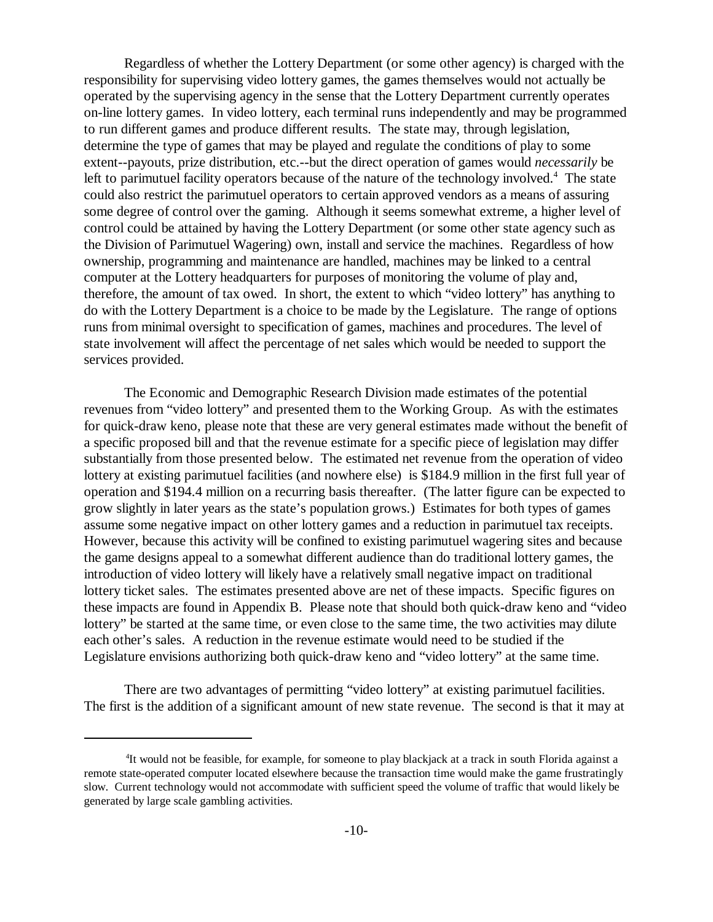Regardless of whether the Lottery Department (or some other agency) is charged with the responsibility for supervising video lottery games, the games themselves would not actually be operated by the supervising agency in the sense that the Lottery Department currently operates on-line lottery games. In video lottery, each terminal runs independently and may be programmed to run different games and produce different results. The state may, through legislation, determine the type of games that may be played and regulate the conditions of play to some extent--payouts, prize distribution, etc.--but the direct operation of games would *necessarily* be left to parimutuel facility operators because of the nature of the technology involved.<sup>4</sup> The state could also restrict the parimutuel operators to certain approved vendors as a means of assuring some degree of control over the gaming. Although it seems somewhat extreme, a higher level of control could be attained by having the Lottery Department (or some other state agency such as the Division of Parimutuel Wagering) own, install and service the machines. Regardless of how ownership, programming and maintenance are handled, machines may be linked to a central computer at the Lottery headquarters for purposes of monitoring the volume of play and, therefore, the amount of tax owed. In short, the extent to which "video lottery" has anything to do with the Lottery Department is a choice to be made by the Legislature. The range of options runs from minimal oversight to specification of games, machines and procedures. The level of state involvement will affect the percentage of net sales which would be needed to support the services provided.

The Economic and Demographic Research Division made estimates of the potential revenues from "video lottery" and presented them to the Working Group. As with the estimates for quick-draw keno, please note that these are very general estimates made without the benefit of a specific proposed bill and that the revenue estimate for a specific piece of legislation may differ substantially from those presented below. The estimated net revenue from the operation of video lottery at existing parimutuel facilities (and nowhere else) is \$184.9 million in the first full year of operation and \$194.4 million on a recurring basis thereafter. (The latter figure can be expected to grow slightly in later years as the state's population grows.) Estimates for both types of games assume some negative impact on other lottery games and a reduction in parimutuel tax receipts. However, because this activity will be confined to existing parimutuel wagering sites and because the game designs appeal to a somewhat different audience than do traditional lottery games, the introduction of video lottery will likely have a relatively small negative impact on traditional lottery ticket sales. The estimates presented above are net of these impacts. Specific figures on these impacts are found in Appendix B. Please note that should both quick-draw keno and "video lottery" be started at the same time, or even close to the same time, the two activities may dilute each other's sales. A reduction in the revenue estimate would need to be studied if the Legislature envisions authorizing both quick-draw keno and "video lottery" at the same time.

There are two advantages of permitting "video lottery" at existing parimutuel facilities. The first is the addition of a significant amount of new state revenue. The second is that it may at

<sup>&</sup>lt;sup>4</sup>It would not be feasible, for example, for someone to play blackjack at a track in south Florida against a remote state-operated computer located elsewhere because the transaction time would make the game frustratingly slow. Current technology would not accommodate with sufficient speed the volume of traffic that would likely be generated by large scale gambling activities.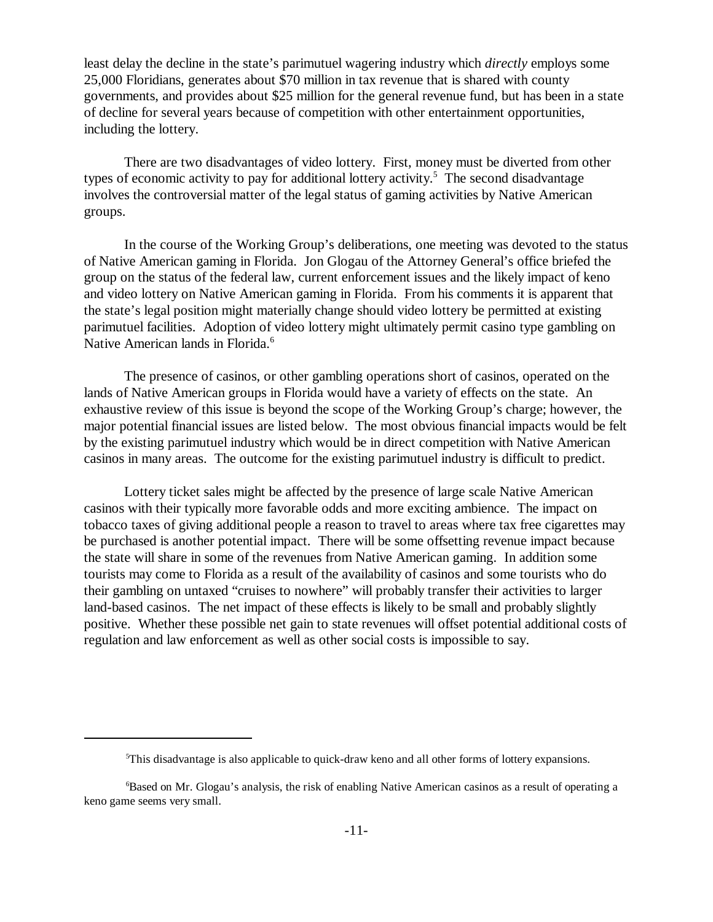least delay the decline in the state's parimutuel wagering industry which *directly* employs some 25,000 Floridians, generates about \$70 million in tax revenue that is shared with county governments, and provides about \$25 million for the general revenue fund, but has been in a state of decline for several years because of competition with other entertainment opportunities, including the lottery.

There are two disadvantages of video lottery. First, money must be diverted from other types of economic activity to pay for additional lottery activity.<sup>5</sup> The second disadvantage involves the controversial matter of the legal status of gaming activities by Native American groups.

In the course of the Working Group's deliberations, one meeting was devoted to the status of Native American gaming in Florida. Jon Glogau of the Attorney General's office briefed the group on the status of the federal law, current enforcement issues and the likely impact of keno and video lottery on Native American gaming in Florida. From his comments it is apparent that the state's legal position might materially change should video lottery be permitted at existing parimutuel facilities. Adoption of video lottery might ultimately permit casino type gambling on Native American lands in Florida.<sup>6</sup>

The presence of casinos, or other gambling operations short of casinos, operated on the lands of Native American groups in Florida would have a variety of effects on the state. An exhaustive review of this issue is beyond the scope of the Working Group's charge; however, the major potential financial issues are listed below. The most obvious financial impacts would be felt by the existing parimutuel industry which would be in direct competition with Native American casinos in many areas. The outcome for the existing parimutuel industry is difficult to predict.

Lottery ticket sales might be affected by the presence of large scale Native American casinos with their typically more favorable odds and more exciting ambience. The impact on tobacco taxes of giving additional people a reason to travel to areas where tax free cigarettes may be purchased is another potential impact. There will be some offsetting revenue impact because the state will share in some of the revenues from Native American gaming. In addition some tourists may come to Florida as a result of the availability of casinos and some tourists who do their gambling on untaxed "cruises to nowhere" will probably transfer their activities to larger land-based casinos. The net impact of these effects is likely to be small and probably slightly positive. Whether these possible net gain to state revenues will offset potential additional costs of regulation and law enforcement as well as other social costs is impossible to say.

 $5$ This disadvantage is also applicable to quick-draw keno and all other forms of lottery expansions.

<sup>&</sup>lt;sup>6</sup>Based on Mr. Glogau's analysis, the risk of enabling Native American casinos as a result of operating a keno game seems very small.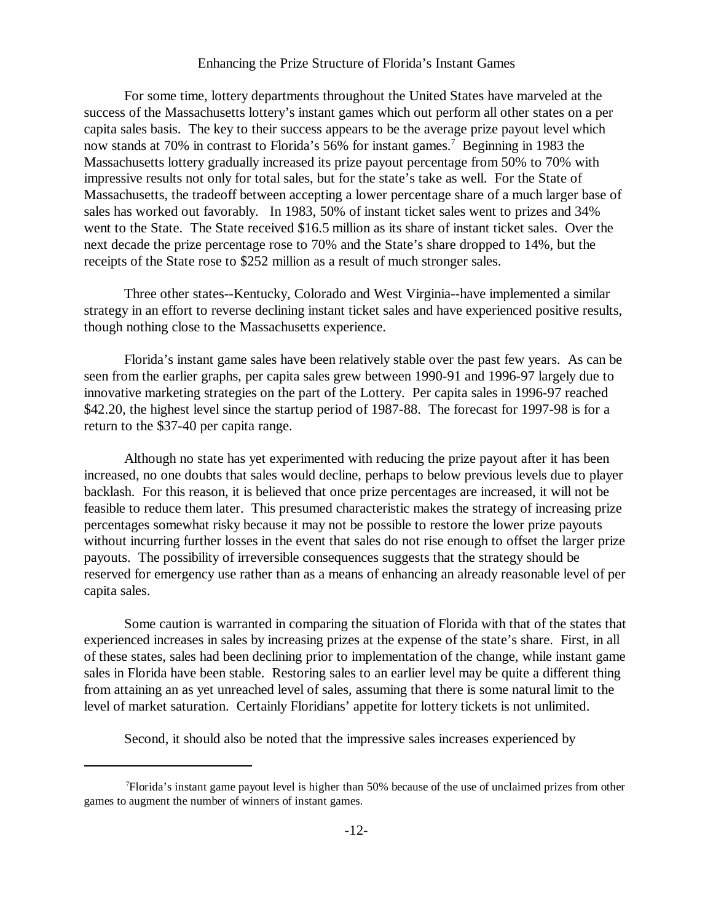#### Enhancing the Prize Structure of Florida's Instant Games

For some time, lottery departments throughout the United States have marveled at the success of the Massachusetts lottery's instant games which out perform all other states on a per capita sales basis. The key to their success appears to be the average prize payout level which now stands at 70% in contrast to Florida's 56% for instant games.<sup>7</sup> Beginning in 1983 the Massachusetts lottery gradually increased its prize payout percentage from 50% to 70% with impressive results not only for total sales, but for the state's take as well. For the State of Massachusetts, the tradeoff between accepting a lower percentage share of a much larger base of sales has worked out favorably. In 1983, 50% of instant ticket sales went to prizes and 34% went to the State. The State received \$16.5 million as its share of instant ticket sales. Over the next decade the prize percentage rose to 70% and the State's share dropped to 14%, but the receipts of the State rose to \$252 million as a result of much stronger sales.

Three other states--Kentucky, Colorado and West Virginia--have implemented a similar strategy in an effort to reverse declining instant ticket sales and have experienced positive results, though nothing close to the Massachusetts experience.

Florida's instant game sales have been relatively stable over the past few years. As can be seen from the earlier graphs, per capita sales grew between 1990-91 and 1996-97 largely due to innovative marketing strategies on the part of the Lottery. Per capita sales in 1996-97 reached \$42.20, the highest level since the startup period of 1987-88. The forecast for 1997-98 is for a return to the \$37-40 per capita range.

Although no state has yet experimented with reducing the prize payout after it has been increased, no one doubts that sales would decline, perhaps to below previous levels due to player backlash. For this reason, it is believed that once prize percentages are increased, it will not be feasible to reduce them later. This presumed characteristic makes the strategy of increasing prize percentages somewhat risky because it may not be possible to restore the lower prize payouts without incurring further losses in the event that sales do not rise enough to offset the larger prize payouts. The possibility of irreversible consequences suggests that the strategy should be reserved for emergency use rather than as a means of enhancing an already reasonable level of per capita sales.

Some caution is warranted in comparing the situation of Florida with that of the states that experienced increases in sales by increasing prizes at the expense of the state's share. First, in all of these states, sales had been declining prior to implementation of the change, while instant game sales in Florida have been stable. Restoring sales to an earlier level may be quite a different thing from attaining an as yet unreached level of sales, assuming that there is some natural limit to the level of market saturation. Certainly Floridians' appetite for lottery tickets is not unlimited.

Second, it should also be noted that the impressive sales increases experienced by

Florida's instant game payout level is higher than 50% because of the use of unclaimed prizes from other <sup>7</sup> games to augment the number of winners of instant games.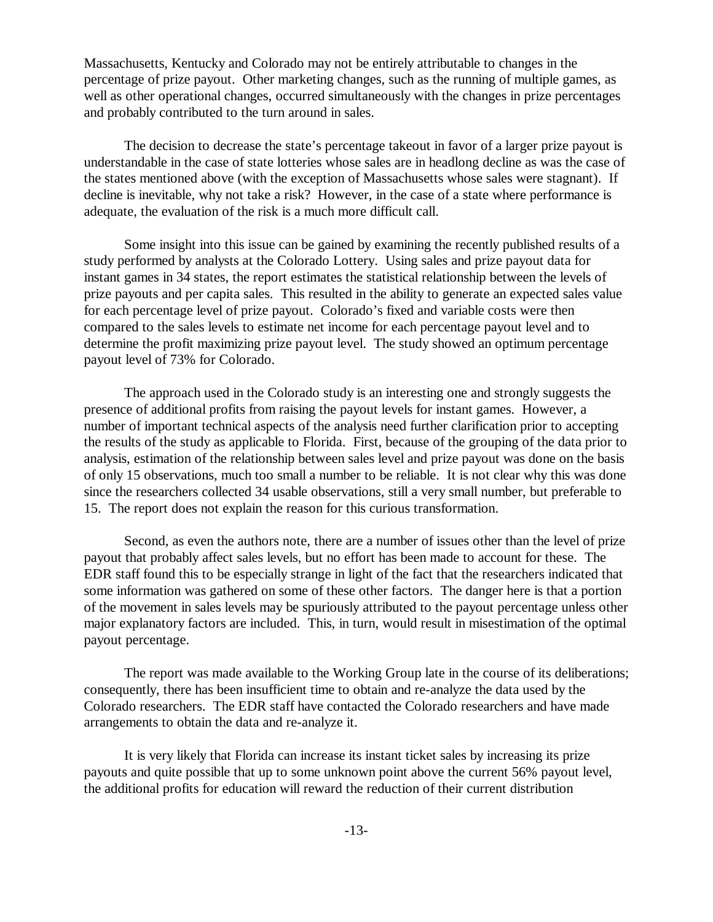Massachusetts, Kentucky and Colorado may not be entirely attributable to changes in the percentage of prize payout. Other marketing changes, such as the running of multiple games, as well as other operational changes, occurred simultaneously with the changes in prize percentages and probably contributed to the turn around in sales.

The decision to decrease the state's percentage takeout in favor of a larger prize payout is understandable in the case of state lotteries whose sales are in headlong decline as was the case of the states mentioned above (with the exception of Massachusetts whose sales were stagnant). If decline is inevitable, why not take a risk? However, in the case of a state where performance is adequate, the evaluation of the risk is a much more difficult call.

Some insight into this issue can be gained by examining the recently published results of a study performed by analysts at the Colorado Lottery. Using sales and prize payout data for instant games in 34 states, the report estimates the statistical relationship between the levels of prize payouts and per capita sales. This resulted in the ability to generate an expected sales value for each percentage level of prize payout. Colorado's fixed and variable costs were then compared to the sales levels to estimate net income for each percentage payout level and to determine the profit maximizing prize payout level. The study showed an optimum percentage payout level of 73% for Colorado.

The approach used in the Colorado study is an interesting one and strongly suggests the presence of additional profits from raising the payout levels for instant games. However, a number of important technical aspects of the analysis need further clarification prior to accepting the results of the study as applicable to Florida. First, because of the grouping of the data prior to analysis, estimation of the relationship between sales level and prize payout was done on the basis of only 15 observations, much too small a number to be reliable. It is not clear why this was done since the researchers collected 34 usable observations, still a very small number, but preferable to 15. The report does not explain the reason for this curious transformation.

Second, as even the authors note, there are a number of issues other than the level of prize payout that probably affect sales levels, but no effort has been made to account for these. The EDR staff found this to be especially strange in light of the fact that the researchers indicated that some information was gathered on some of these other factors. The danger here is that a portion of the movement in sales levels may be spuriously attributed to the payout percentage unless other major explanatory factors are included. This, in turn, would result in misestimation of the optimal payout percentage.

The report was made available to the Working Group late in the course of its deliberations; consequently, there has been insufficient time to obtain and re-analyze the data used by the Colorado researchers. The EDR staff have contacted the Colorado researchers and have made arrangements to obtain the data and re-analyze it.

It is very likely that Florida can increase its instant ticket sales by increasing its prize payouts and quite possible that up to some unknown point above the current 56% payout level, the additional profits for education will reward the reduction of their current distribution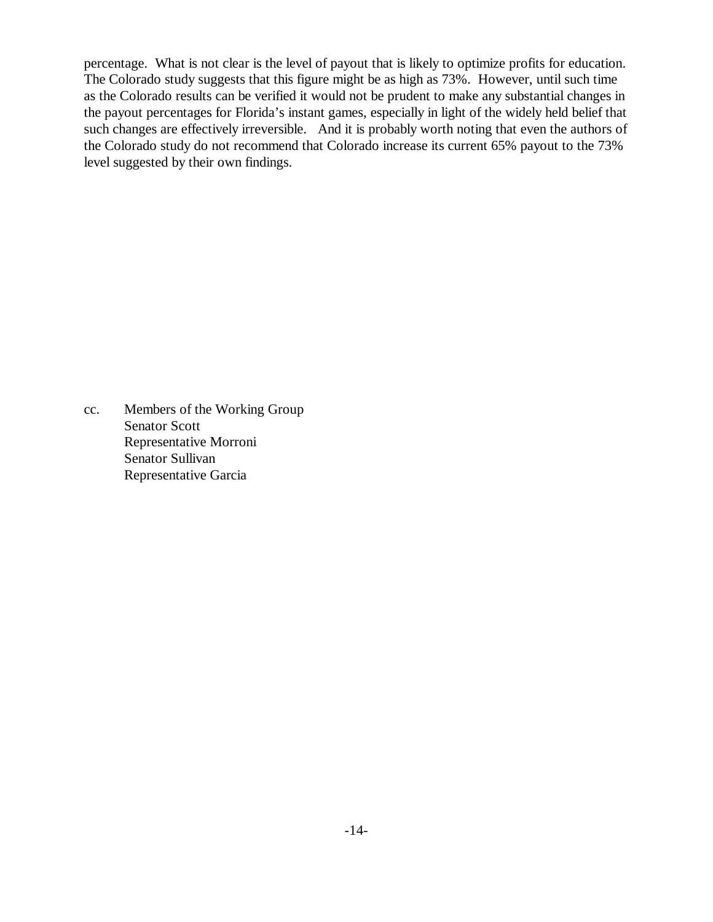percentage. What is not clear is the level of payout that is likely to optimize profits for education. The Colorado study suggests that this figure might be as high as 73%. However, until such time as the Colorado results can be verified it would not be prudent to make any substantial changes in the payout percentages for Florida's instant games, especially in light of the widely held belief that such changes are effectively irreversible. And it is probably worth noting that even the authors of the Colorado study do not recommend that Colorado increase its current 65% payout to the 73% level suggested by their own findings.

cc. Members of the Working Group Senator Scott Representative Morroni Senator Sullivan Representative Garcia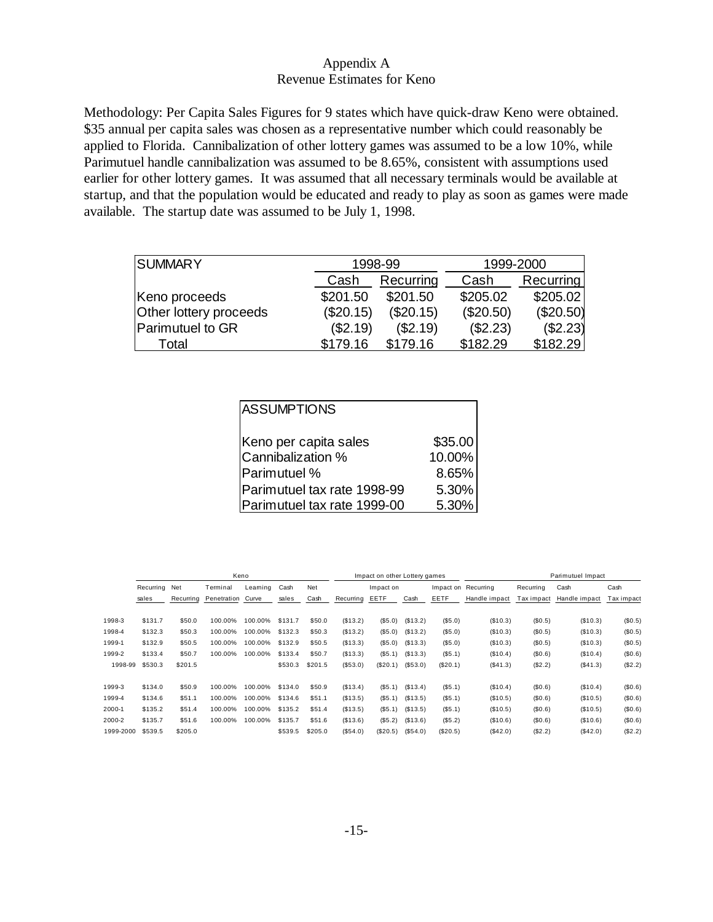# Appendix A Revenue Estimates for Keno

Methodology: Per Capita Sales Figures for 9 states which have quick-draw Keno were obtained. \$35 annual per capita sales was chosen as a representative number which could reasonably be applied to Florida. Cannibalization of other lottery games was assumed to be a low 10%, while Parimutuel handle cannibalization was assumed to be 8.65%, consistent with assumptions used earlier for other lottery games. It was assumed that all necessary terminals would be available at startup, and that the population would be educated and ready to play as soon as games were made available. The startup date was assumed to be July 1, 1998.

| <b>SUMMARY</b>         |           | 1998-99   | 1999-2000 |             |  |  |
|------------------------|-----------|-----------|-----------|-------------|--|--|
|                        | Cash      | Recurring | Cash      | Recurring   |  |  |
| Keno proceeds          | \$201.50  | \$201.50  | \$205.02  | \$205.02    |  |  |
| Other lottery proceeds | (\$20.15) | (\$20.15) | (\$20.50) | $(\$20.50)$ |  |  |
| Parimutuel to GR       | (\$2.19)  | (\$2.19)  | (\$2.23)  | $(\$2.23)$  |  |  |
| Total                  | \$179.16  | \$179.16  | \$182.29  | \$182.29    |  |  |

| <b>ASSUMPTIONS</b>          |         |
|-----------------------------|---------|
| Keno per capita sales       | \$35.00 |
| Cannibalization %           | 10.00%  |
| Parimutuel %                | 8.65%   |
| Parimutuel tax rate 1998-99 | 5.30%   |
| Parimutuel tax rate 1999-00 | 5.30%   |

|           |           |           |             | Keno    |         |         |           | Impact on other Lottery games |          |          |                     | Parimutuel Impact |               |            |  |
|-----------|-----------|-----------|-------------|---------|---------|---------|-----------|-------------------------------|----------|----------|---------------------|-------------------|---------------|------------|--|
|           | Recurring | Net       | Terminal    | Leaming | Cash    | Net     |           | Impact on                     |          |          | Impact on Recurring | Recurring         | Cash          | Cash       |  |
|           | sales     | Recurring | Penetration | Curve   | sales   | Cash    | Recurring | EETF                          | Cash     | EETF     | Handle impact       | Tax impact        | Handle impact | Tax impact |  |
| 1998-3    | \$131.7   | \$50.0    | 100.00%     | 100.00% | \$131.7 | \$50.0  | (\$13.2)  | (\$5.0)                       | (\$13.2) | (S5.0)   | (S10.3)             | (S0.5)            | (\$10.3)      | (\$0.5)    |  |
| 1998-4    | \$132.3   | \$50.3    | 100.00%     | 100.00% | \$132.3 | \$50.3  | (\$13.2)  | (S5.0)                        | (\$13.2) | (S5.0)   | (\$10.3)            | (S0.5)            | (\$10.3)      | (\$0.5)    |  |
| 1999-1    | \$132.9   | \$50.5    | 100.00%     | 100.00% | \$132.9 | \$50.5  | (\$13.3)  | (\$5.0)                       | (\$13.3) | (S5.0)   | (\$10.3)            | (\$0.5)           | (\$10.3)      | (\$0.5)    |  |
| 1999-2    | \$133.4   | \$50.7    | 100.00%     | 100.00% | \$133.4 | \$50.7  | (\$13.3)  | (S5.1)                        | (S13.3)  | (S5.1)   | (\$10.4)            | (S0.6)            | (\$10.4)      | (\$0.6)    |  |
| 1998-99   | \$530.3   | \$201.5   |             |         | \$530.3 | \$201.5 | (\$53.0)  | (\$20.1)                      | (S53.0)  | (\$20.1) | (\$41.3)            | (\$2.2)           | (\$41.3)      | (\$2.2)    |  |
| 1999-3    | \$134.0   | \$50.9    | 100.00%     | 100.00% | \$134.0 | \$50.9  | (\$13.4)  | (\$5.1)                       | (\$13.4) | (S5.1)   | (\$10.4)            | (S0.6)            | (\$10.4)      | (\$0.6)    |  |
| 1999-4    | \$134.6   | \$51.1    | 100.00%     | 100.00% | \$134.6 | \$51.1  | (\$13.5)  | (S5.1)                        | (\$13.5) | (S5.1)   | (\$10.5)            | (S0.6)            | (\$10.5)      | (\$0.6)    |  |
| 2000-1    | \$135.2   | \$51.4    | 100.00%     | 100.00% | \$135.2 | \$51.4  | (\$13.5)  | (S5.1)                        | (S13.5)  | (\$5.1)  | (\$10.5)            | (\$0.6)           | (\$10.5)      | (\$0.6)    |  |
| 2000-2    | \$135.7   | \$51.6    | 100.00%     | 100.00% | \$135.7 | \$51.6  | (\$13.6)  | (S5.2)                        | (S13.6)  | (S5.2)   | (\$10.6)            | (S0.6)            | (\$10.6)      | (\$0.6)    |  |
| 1999-2000 | \$539.5   | \$205.0   |             |         | \$539.5 | \$205.0 | (\$54.0)  | (\$20.5)                      | (S54.0)  | (\$20.5) | (\$42.0)            | (\$2.2)           | (\$42.0)      | (\$2.2)    |  |